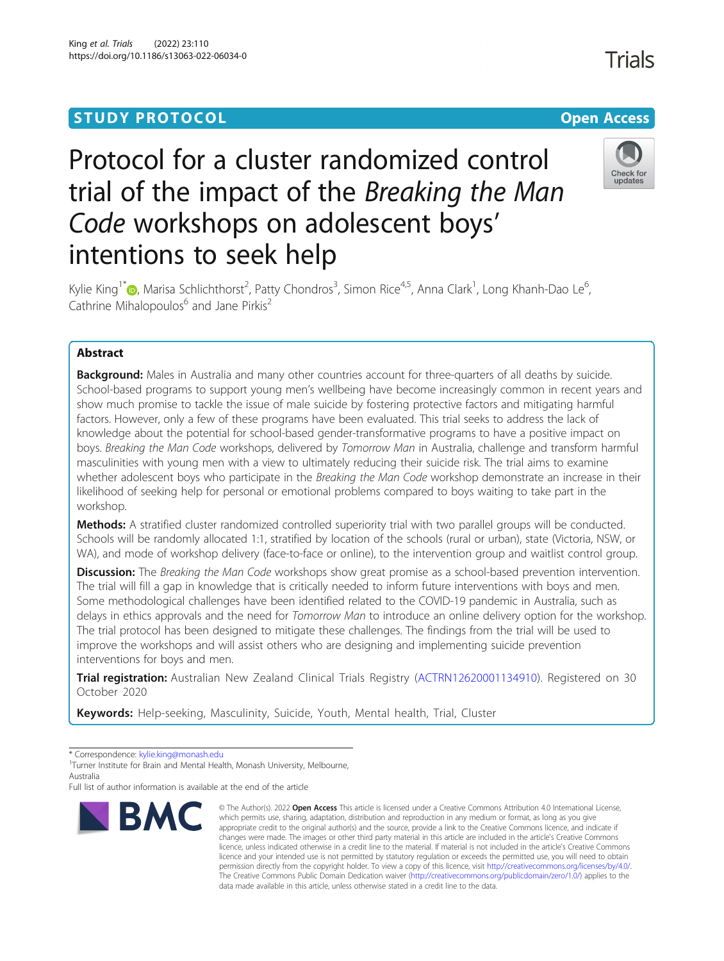# **STUDY PROTOCOL CONSUMING THE CONSUMING OPEN ACCESS**

# Protocol for a cluster randomized control trial of the impact of the Breaking the Man Code workshops on adolescent boys' intentions to seek help



Trials

Kylie King<sup>1[\\*](http://orcid.org/0000-0001-8500-4972)</sup>�, Marisa Schlichthorst<sup>2</sup>, Patty Chondros<sup>3</sup>, Simon Rice<sup>4,5</sup>, Anna Clark<sup>1</sup>, Long Khanh-Dao Le<sup>6</sup> , Cathrine Mihalopoulos<sup>6</sup> and Jane Pirkis<sup>2</sup>

# Abstract

**Background:** Males in Australia and many other countries account for three-quarters of all deaths by suicide. School-based programs to support young men's wellbeing have become increasingly common in recent years and show much promise to tackle the issue of male suicide by fostering protective factors and mitigating harmful factors. However, only a few of these programs have been evaluated. This trial seeks to address the lack of knowledge about the potential for school-based gender-transformative programs to have a positive impact on boys. Breaking the Man Code workshops, delivered by Tomorrow Man in Australia, challenge and transform harmful masculinities with young men with a view to ultimately reducing their suicide risk. The trial aims to examine whether adolescent boys who participate in the Breaking the Man Code workshop demonstrate an increase in their likelihood of seeking help for personal or emotional problems compared to boys waiting to take part in the workshop.

Methods: A stratified cluster randomized controlled superiority trial with two parallel groups will be conducted. Schools will be randomly allocated 1:1, stratified by location of the schools (rural or urban), state (Victoria, NSW, or WA), and mode of workshop delivery (face-to-face or online), to the intervention group and waitlist control group.

Discussion: The Breaking the Man Code workshops show great promise as a school-based prevention intervention. The trial will fill a gap in knowledge that is critically needed to inform future interventions with boys and men. Some methodological challenges have been identified related to the COVID-19 pandemic in Australia, such as delays in ethics approvals and the need for Tomorrow Man to introduce an online delivery option for the workshop. The trial protocol has been designed to mitigate these challenges. The findings from the trial will be used to improve the workshops and will assist others who are designing and implementing suicide prevention interventions for boys and men.

Trial registration: Australian New Zealand Clinical Trials Registry ([ACTRN12620001134910](https://www.anzctr.org.au/)). Registered on 30 October 2020

Keywords: Help-seeking, Masculinity, Suicide, Youth, Mental health, Trial, Cluster

\* Correspondence: [kylie.king@monash.edu](mailto:kylie.king@monash.edu) <sup>1</sup>

Full list of author information is available at the end of the article



<sup>©</sup> The Author(s), 2022 **Open Access** This article is licensed under a Creative Commons Attribution 4.0 International License, which permits use, sharing, adaptation, distribution and reproduction in any medium or format, as long as you give appropriate credit to the original author(s) and the source, provide a link to the Creative Commons licence, and indicate if changes were made. The images or other third party material in this article are included in the article's Creative Commons licence, unless indicated otherwise in a credit line to the material. If material is not included in the article's Creative Commons licence and your intended use is not permitted by statutory regulation or exceeds the permitted use, you will need to obtain permission directly from the copyright holder. To view a copy of this licence, visit [http://creativecommons.org/licenses/by/4.0/.](http://creativecommons.org/licenses/by/4.0/) The Creative Commons Public Domain Dedication waiver [\(http://creativecommons.org/publicdomain/zero/1.0/](http://creativecommons.org/publicdomain/zero/1.0/)) applies to the data made available in this article, unless otherwise stated in a credit line to the data.

<sup>&</sup>lt;sup>1</sup>Turner Institute for Brain and Mental Health, Monash University, Melbourne, Australia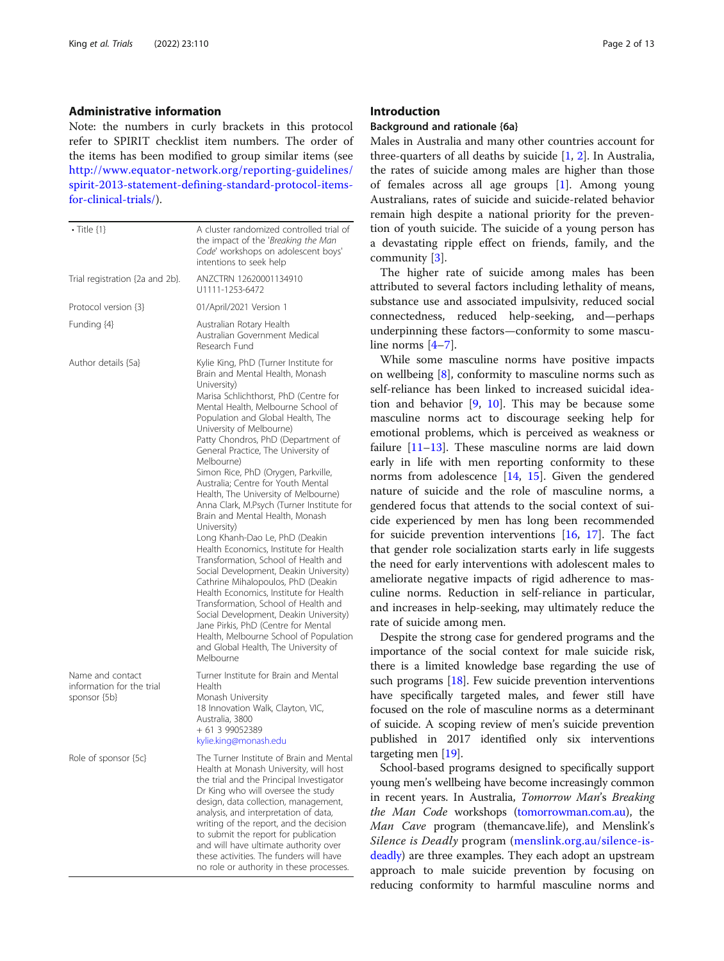#### Administrative information

Note: the numbers in curly brackets in this protocol refer to SPIRIT checklist item numbers. The order of the items has been modified to group similar items (see [http://www.equator-network.org/reporting-guidelines/](http://www.equator-network.org/reporting-guidelines/spirit-2013-statement-defining-standard-protocol-items-for-clinical-trials/) [spirit-2013-statement-defining-standard-protocol-items](http://www.equator-network.org/reporting-guidelines/spirit-2013-statement-defining-standard-protocol-items-for-clinical-trials/)[for-clinical-trials/](http://www.equator-network.org/reporting-guidelines/spirit-2013-statement-defining-standard-protocol-items-for-clinical-trials/)).

| $\cdot$ Title $\{1\}$                                         | A cluster randomized controlled trial of<br>the impact of the 'Breaking the Man<br>Code' workshops on adolescent boys'<br>intentions to seek help                                                                                                                                                                                                                                                                                                                                                                                                                                                                                                                                                                                                                                                                                                                                                                                                                                                                            |
|---------------------------------------------------------------|------------------------------------------------------------------------------------------------------------------------------------------------------------------------------------------------------------------------------------------------------------------------------------------------------------------------------------------------------------------------------------------------------------------------------------------------------------------------------------------------------------------------------------------------------------------------------------------------------------------------------------------------------------------------------------------------------------------------------------------------------------------------------------------------------------------------------------------------------------------------------------------------------------------------------------------------------------------------------------------------------------------------------|
| Trial registration {2a and 2b}.                               | ANZCTRN 12620001134910<br>U1111-1253-6472                                                                                                                                                                                                                                                                                                                                                                                                                                                                                                                                                                                                                                                                                                                                                                                                                                                                                                                                                                                    |
| Protocol version {3}                                          | 01/April/2021 Version 1                                                                                                                                                                                                                                                                                                                                                                                                                                                                                                                                                                                                                                                                                                                                                                                                                                                                                                                                                                                                      |
| Funding {4}                                                   | Australian Rotary Health<br>Australian Government Medical<br>Research Fund                                                                                                                                                                                                                                                                                                                                                                                                                                                                                                                                                                                                                                                                                                                                                                                                                                                                                                                                                   |
| Author details {5a}                                           | Kylie King, PhD (Turner Institute for<br>Brain and Mental Health, Monash<br>University)<br>Marisa Schlichthorst, PhD (Centre for<br>Mental Health, Melbourne School of<br>Population and Global Health, The<br>University of Melbourne)<br>Patty Chondros, PhD (Department of<br>General Practice, The University of<br>Melbourne)<br>Simon Rice, PhD (Orygen, Parkville,<br>Australia; Centre for Youth Mental<br>Health, The University of Melbourne)<br>Anna Clark, M.Psych (Turner Institute for<br>Brain and Mental Health, Monash<br>University)<br>Long Khanh-Dao Le, PhD (Deakin<br>Health Economics, Institute for Health<br>Transformation, School of Health and<br>Social Development, Deakin University)<br>Cathrine Mihalopoulos, PhD (Deakin<br>Health Economics, Institute for Health<br>Transformation, School of Health and<br>Social Development, Deakin University)<br>Jane Pirkis, PhD (Centre for Mental<br>Health, Melbourne School of Population<br>and Global Health, The University of<br>Melbourne |
| Name and contact<br>information for the trial<br>sponsor {5b} | Turner Institute for Brain and Mental<br>Health<br>Monash University<br>18 Innovation Walk, Clayton, VIC,<br>Australia, 3800<br>+ 61 3 99052389<br>kylie.king@monash.edu                                                                                                                                                                                                                                                                                                                                                                                                                                                                                                                                                                                                                                                                                                                                                                                                                                                     |
| Role of sponsor {5c}                                          | The Turner Institute of Brain and Mental<br>Health at Monash University, will host<br>the trial and the Principal Investigator<br>Dr King who will oversee the study<br>design, data collection, management,<br>analysis, and interpretation of data,<br>writing of the report, and the decision<br>to submit the report for publication<br>and will have ultimate authority over<br>these activities. The funders will have<br>no role or authority in these processes.                                                                                                                                                                                                                                                                                                                                                                                                                                                                                                                                                     |

#### Introduction

## Background and rationale {6a}

Males in Australia and many other countries account for three-quarters of all deaths by suicide [[1,](#page-11-0) [2\]](#page-11-0). In Australia, the rates of suicide among males are higher than those of females across all age groups [\[1](#page-11-0)]. Among young Australians, rates of suicide and suicide-related behavior remain high despite a national priority for the prevention of youth suicide. The suicide of a young person has a devastating ripple effect on friends, family, and the community [[3](#page-11-0)].

The higher rate of suicide among males has been attributed to several factors including lethality of means, substance use and associated impulsivity, reduced social connectedness, reduced help-seeking, and—perhaps underpinning these factors—conformity to some masculine norms [[4](#page-11-0)–[7\]](#page-11-0).

While some masculine norms have positive impacts on wellbeing [[8\]](#page-11-0), conformity to masculine norms such as self-reliance has been linked to increased suicidal ideation and behavior  $[9, 10]$  $[9, 10]$  $[9, 10]$  $[9, 10]$ . This may be because some masculine norms act to discourage seeking help for emotional problems, which is perceived as weakness or failure [\[11](#page-12-0)–[13\]](#page-12-0). These masculine norms are laid down early in life with men reporting conformity to these norms from adolescence [\[14](#page-12-0), [15\]](#page-12-0). Given the gendered nature of suicide and the role of masculine norms, a gendered focus that attends to the social context of suicide experienced by men has long been recommended for suicide prevention interventions [\[16](#page-12-0), [17](#page-12-0)]. The fact that gender role socialization starts early in life suggests the need for early interventions with adolescent males to ameliorate negative impacts of rigid adherence to masculine norms. Reduction in self-reliance in particular, and increases in help-seeking, may ultimately reduce the rate of suicide among men.

Despite the strong case for gendered programs and the importance of the social context for male suicide risk, there is a limited knowledge base regarding the use of such programs [\[18\]](#page-12-0). Few suicide prevention interventions have specifically targeted males, and fewer still have focused on the role of masculine norms as a determinant of suicide. A scoping review of men's suicide prevention published in 2017 identified only six interventions targeting men [\[19\]](#page-12-0).

School-based programs designed to specifically support young men's wellbeing have become increasingly common in recent years. In Australia, Tomorrow Man's Breaking the Man Code workshops ([tomorrowman.com.au\)](http://tomorrowman.com.au), the Man Cave program (themancave.life), and Menslink's Silence is Deadly program ([menslink.org.au/silence-is](http://menslink.org.au/silence-is-deadly)[deadly](http://menslink.org.au/silence-is-deadly)) are three examples. They each adopt an upstream approach to male suicide prevention by focusing on reducing conformity to harmful masculine norms and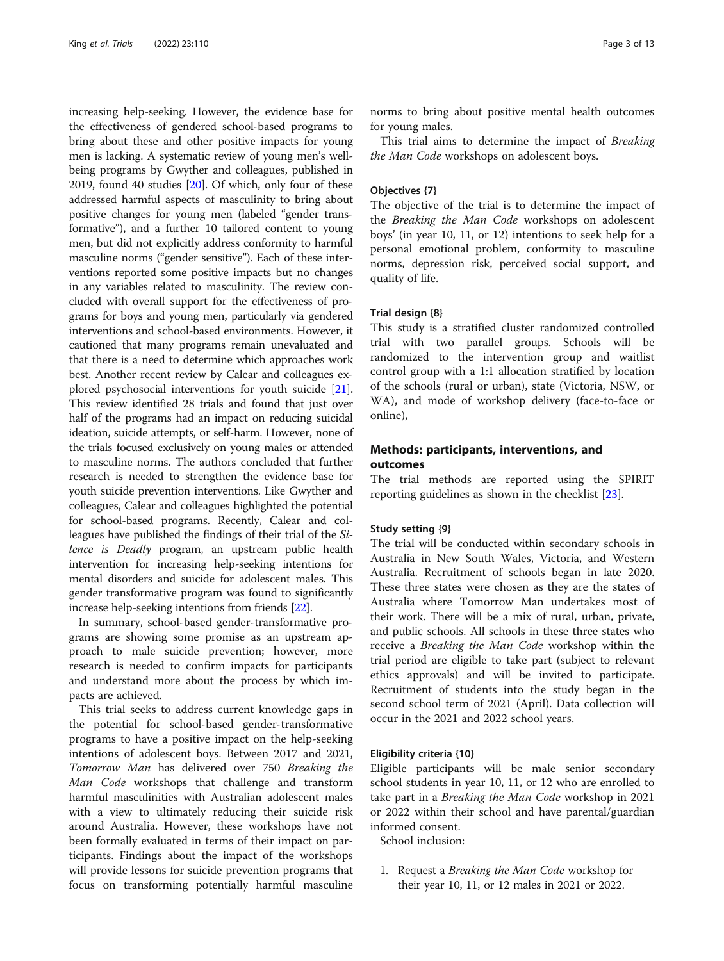increasing help-seeking. However, the evidence base for the effectiveness of gendered school-based programs to bring about these and other positive impacts for young men is lacking. A systematic review of young men's wellbeing programs by Gwyther and colleagues, published in 2019, found 40 studies [\[20\]](#page-12-0). Of which, only four of these addressed harmful aspects of masculinity to bring about positive changes for young men (labeled "gender transformative"), and a further 10 tailored content to young men, but did not explicitly address conformity to harmful masculine norms ("gender sensitive"). Each of these interventions reported some positive impacts but no changes in any variables related to masculinity. The review concluded with overall support for the effectiveness of programs for boys and young men, particularly via gendered interventions and school-based environments. However, it cautioned that many programs remain unevaluated and that there is a need to determine which approaches work best. Another recent review by Calear and colleagues explored psychosocial interventions for youth suicide [[21](#page-12-0)]. This review identified 28 trials and found that just over half of the programs had an impact on reducing suicidal ideation, suicide attempts, or self-harm. However, none of the trials focused exclusively on young males or attended to masculine norms. The authors concluded that further research is needed to strengthen the evidence base for youth suicide prevention interventions. Like Gwyther and colleagues, Calear and colleagues highlighted the potential for school-based programs. Recently, Calear and colleagues have published the findings of their trial of the Silence is Deadly program, an upstream public health intervention for increasing help-seeking intentions for mental disorders and suicide for adolescent males. This gender transformative program was found to significantly increase help-seeking intentions from friends [\[22\]](#page-12-0).

In summary, school-based gender-transformative programs are showing some promise as an upstream approach to male suicide prevention; however, more research is needed to confirm impacts for participants and understand more about the process by which impacts are achieved.

This trial seeks to address current knowledge gaps in the potential for school-based gender-transformative programs to have a positive impact on the help-seeking intentions of adolescent boys. Between 2017 and 2021, Tomorrow Man has delivered over 750 Breaking the Man Code workshops that challenge and transform harmful masculinities with Australian adolescent males with a view to ultimately reducing their suicide risk around Australia. However, these workshops have not been formally evaluated in terms of their impact on participants. Findings about the impact of the workshops will provide lessons for suicide prevention programs that focus on transforming potentially harmful masculine norms to bring about positive mental health outcomes for young males.

This trial aims to determine the impact of Breaking the Man Code workshops on adolescent boys.

#### Objectives {7}

The objective of the trial is to determine the impact of the Breaking the Man Code workshops on adolescent boys' (in year 10, 11, or 12) intentions to seek help for a personal emotional problem, conformity to masculine norms, depression risk, perceived social support, and quality of life.

#### Trial design {8}

This study is a stratified cluster randomized controlled trial with two parallel groups. Schools will be randomized to the intervention group and waitlist control group with a 1:1 allocation stratified by location of the schools (rural or urban), state (Victoria, NSW, or WA), and mode of workshop delivery (face-to-face or online),

#### Methods: participants, interventions, and outcomes

The trial methods are reported using the SPIRIT reporting guidelines as shown in the checklist [\[23](#page-12-0)].

#### Study setting {9}

The trial will be conducted within secondary schools in Australia in New South Wales, Victoria, and Western Australia. Recruitment of schools began in late 2020. These three states were chosen as they are the states of Australia where Tomorrow Man undertakes most of their work. There will be a mix of rural, urban, private, and public schools. All schools in these three states who receive a Breaking the Man Code workshop within the trial period are eligible to take part (subject to relevant ethics approvals) and will be invited to participate. Recruitment of students into the study began in the second school term of 2021 (April). Data collection will occur in the 2021 and 2022 school years.

#### Eligibility criteria {10}

Eligible participants will be male senior secondary school students in year 10, 11, or 12 who are enrolled to take part in a Breaking the Man Code workshop in 2021 or 2022 within their school and have parental/guardian informed consent.

School inclusion:

1. Request a Breaking the Man Code workshop for their year 10, 11, or 12 males in 2021 or 2022.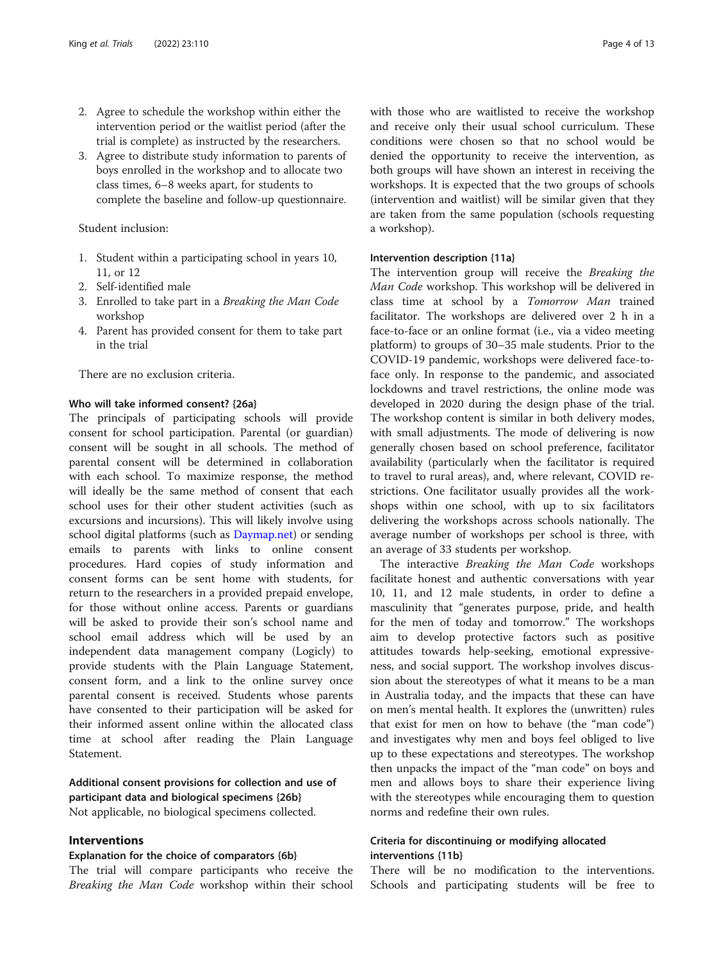- 2. Agree to schedule the workshop within either the intervention period or the waitlist period (after the trial is complete) as instructed by the researchers.
- 3. Agree to distribute study information to parents of boys enrolled in the workshop and to allocate two class times, 6–8 weeks apart, for students to complete the baseline and follow-up questionnaire.

#### Student inclusion:

- 1. Student within a participating school in years 10, 11, or 12
- 2. Self-identified male
- 3. Enrolled to take part in a Breaking the Man Code workshop
- 4. Parent has provided consent for them to take part in the trial

There are no exclusion criteria.

#### Who will take informed consent? {26a}

The principals of participating schools will provide consent for school participation. Parental (or guardian) consent will be sought in all schools. The method of parental consent will be determined in collaboration with each school. To maximize response, the method will ideally be the same method of consent that each school uses for their other student activities (such as excursions and incursions). This will likely involve using school digital platforms (such as [Daymap.net](http://daymap.net)) or sending emails to parents with links to online consent procedures. Hard copies of study information and consent forms can be sent home with students, for return to the researchers in a provided prepaid envelope, for those without online access. Parents or guardians will be asked to provide their son's school name and school email address which will be used by an independent data management company (Logicly) to provide students with the Plain Language Statement, consent form, and a link to the online survey once parental consent is received. Students whose parents have consented to their participation will be asked for their informed assent online within the allocated class time at school after reading the Plain Language Statement.

# Additional consent provisions for collection and use of participant data and biological specimens {26b}

Not applicable, no biological specimens collected.

#### Interventions

#### Explanation for the choice of comparators {6b}

The trial will compare participants who receive the Breaking the Man Code workshop within their school with those who are waitlisted to receive the workshop and receive only their usual school curriculum. These conditions were chosen so that no school would be denied the opportunity to receive the intervention, as both groups will have shown an interest in receiving the workshops. It is expected that the two groups of schools (intervention and waitlist) will be similar given that they are taken from the same population (schools requesting a workshop).

#### Intervention description {11a}

The intervention group will receive the Breaking the Man Code workshop. This workshop will be delivered in class time at school by a Tomorrow Man trained facilitator. The workshops are delivered over 2 h in a face-to-face or an online format (i.e., via a video meeting platform) to groups of 30–35 male students. Prior to the COVID-19 pandemic, workshops were delivered face-toface only. In response to the pandemic, and associated lockdowns and travel restrictions, the online mode was developed in 2020 during the design phase of the trial. The workshop content is similar in both delivery modes, with small adjustments. The mode of delivering is now generally chosen based on school preference, facilitator availability (particularly when the facilitator is required to travel to rural areas), and, where relevant, COVID restrictions. One facilitator usually provides all the workshops within one school, with up to six facilitators delivering the workshops across schools nationally. The average number of workshops per school is three, with an average of 33 students per workshop.

The interactive Breaking the Man Code workshops facilitate honest and authentic conversations with year 10, 11, and 12 male students, in order to define a masculinity that "generates purpose, pride, and health for the men of today and tomorrow." The workshops aim to develop protective factors such as positive attitudes towards help-seeking, emotional expressiveness, and social support. The workshop involves discussion about the stereotypes of what it means to be a man in Australia today, and the impacts that these can have on men's mental health. It explores the (unwritten) rules that exist for men on how to behave (the "man code") and investigates why men and boys feel obliged to live up to these expectations and stereotypes. The workshop then unpacks the impact of the "man code" on boys and men and allows boys to share their experience living with the stereotypes while encouraging them to question norms and redefine their own rules.

#### Criteria for discontinuing or modifying allocated interventions {11b}

There will be no modification to the interventions. Schools and participating students will be free to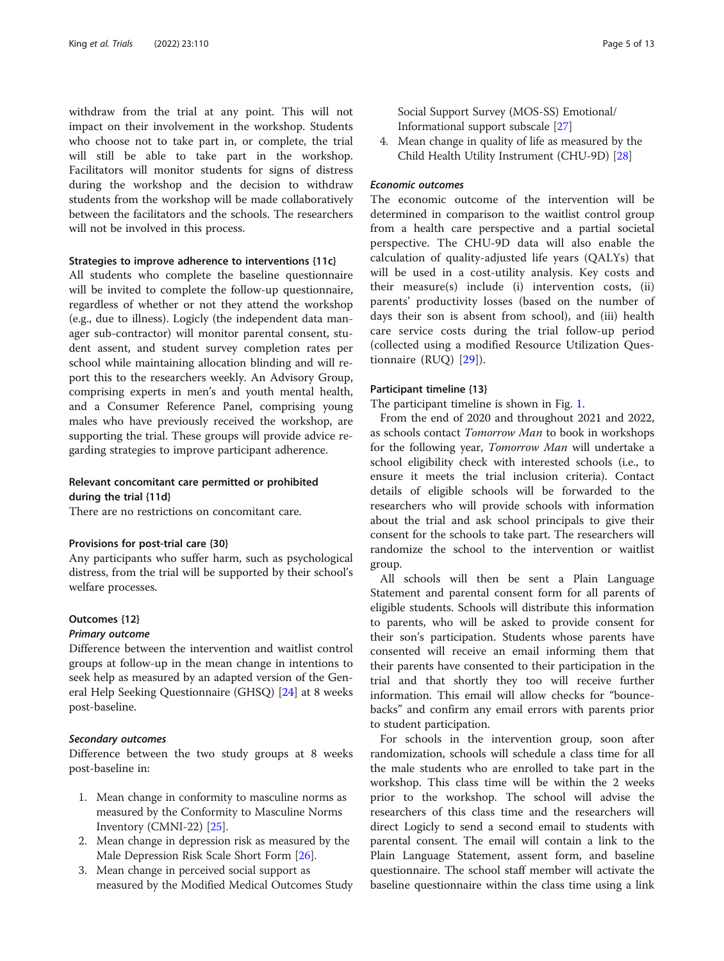withdraw from the trial at any point. This will not impact on their involvement in the workshop. Students who choose not to take part in, or complete, the trial will still be able to take part in the workshop. Facilitators will monitor students for signs of distress during the workshop and the decision to withdraw students from the workshop will be made collaboratively between the facilitators and the schools. The researchers will not be involved in this process.

#### Strategies to improve adherence to interventions {11c}

All students who complete the baseline questionnaire will be invited to complete the follow-up questionnaire, regardless of whether or not they attend the workshop (e.g., due to illness). Logicly (the independent data manager sub-contractor) will monitor parental consent, student assent, and student survey completion rates per school while maintaining allocation blinding and will report this to the researchers weekly. An Advisory Group, comprising experts in men's and youth mental health, and a Consumer Reference Panel, comprising young males who have previously received the workshop, are supporting the trial. These groups will provide advice regarding strategies to improve participant adherence.

#### Relevant concomitant care permitted or prohibited during the trial {11d}

There are no restrictions on concomitant care.

#### Provisions for post-trial care {30}

Any participants who suffer harm, such as psychological distress, from the trial will be supported by their school's welfare processes.

#### Outcomes {12}

#### Primary outcome

Difference between the intervention and waitlist control groups at follow-up in the mean change in intentions to seek help as measured by an adapted version of the General Help Seeking Questionnaire (GHSQ) [\[24\]](#page-12-0) at 8 weeks post-baseline.

#### Secondary outcomes

Difference between the two study groups at 8 weeks post-baseline in:

- 1. Mean change in conformity to masculine norms as measured by the Conformity to Masculine Norms Inventory (CMNI-22) [\[25\]](#page-12-0).
- 2. Mean change in depression risk as measured by the Male Depression Risk Scale Short Form [[26](#page-12-0)].
- 3. Mean change in perceived social support as measured by the Modified Medical Outcomes Study

Social Support Survey (MOS-SS) Emotional/ Informational support subscale [\[27\]](#page-12-0)

4. Mean change in quality of life as measured by the Child Health Utility Instrument (CHU-9D) [[28](#page-12-0)]

#### Economic outcomes

The economic outcome of the intervention will be determined in comparison to the waitlist control group from a health care perspective and a partial societal perspective. The CHU-9D data will also enable the calculation of quality-adjusted life years (QALYs) that will be used in a cost-utility analysis. Key costs and their measure(s) include (i) intervention costs, (ii) parents' productivity losses (based on the number of days their son is absent from school), and (iii) health care service costs during the trial follow-up period (collected using a modified Resource Utilization Questionnaire (RUQ) [[29](#page-12-0)]).

#### Participant timeline {13}

The participant timeline is shown in Fig. [1](#page-5-0).

From the end of 2020 and throughout 2021 and 2022, as schools contact Tomorrow Man to book in workshops for the following year, Tomorrow Man will undertake a school eligibility check with interested schools (i.e., to ensure it meets the trial inclusion criteria). Contact details of eligible schools will be forwarded to the researchers who will provide schools with information about the trial and ask school principals to give their consent for the schools to take part. The researchers will randomize the school to the intervention or waitlist group.

All schools will then be sent a Plain Language Statement and parental consent form for all parents of eligible students. Schools will distribute this information to parents, who will be asked to provide consent for their son's participation. Students whose parents have consented will receive an email informing them that their parents have consented to their participation in the trial and that shortly they too will receive further information. This email will allow checks for "bouncebacks" and confirm any email errors with parents prior to student participation.

For schools in the intervention group, soon after randomization, schools will schedule a class time for all the male students who are enrolled to take part in the workshop. This class time will be within the 2 weeks prior to the workshop. The school will advise the researchers of this class time and the researchers will direct Logicly to send a second email to students with parental consent. The email will contain a link to the Plain Language Statement, assent form, and baseline questionnaire. The school staff member will activate the baseline questionnaire within the class time using a link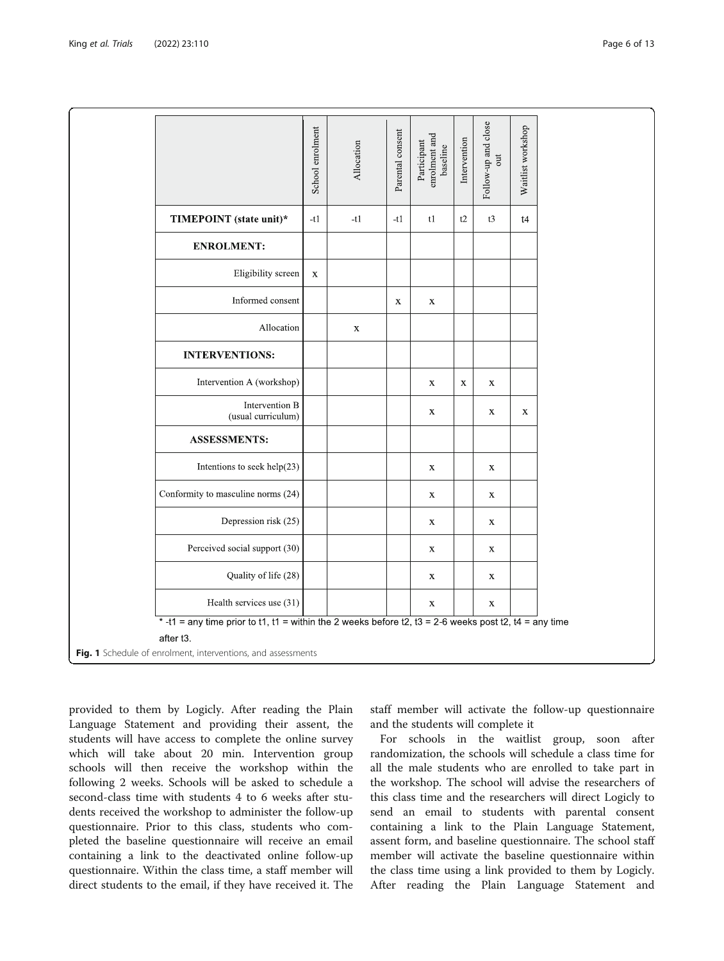<span id="page-5-0"></span>

|                                                                           |                                                                                                       | School enrolment | Allocation  | Parental consent | enrolment and<br>Participant<br>baseline | Intervention | Follow-up and close<br>out | Waitlist workshop |  |  |
|---------------------------------------------------------------------------|-------------------------------------------------------------------------------------------------------|------------------|-------------|------------------|------------------------------------------|--------------|----------------------------|-------------------|--|--|
|                                                                           | TIMEPOINT (state unit)*                                                                               | $-t1$            | $-t1$       | $-t1$            | t1                                       | t2           | t3                         | t4                |  |  |
|                                                                           | <b>ENROLMENT:</b>                                                                                     |                  |             |                  |                                          |              |                            |                   |  |  |
|                                                                           | Eligibility screen                                                                                    | $\mathbf X$      |             |                  |                                          |              |                            |                   |  |  |
|                                                                           | Informed consent                                                                                      |                  |             | $\mathbf X$      | $\mathbf X$                              |              |                            |                   |  |  |
|                                                                           | Allocation                                                                                            |                  | $\mathbf X$ |                  |                                          |              |                            |                   |  |  |
|                                                                           | <b>INTERVENTIONS:</b>                                                                                 |                  |             |                  |                                          |              |                            |                   |  |  |
|                                                                           | Intervention A (workshop)                                                                             |                  |             |                  | $\mathbf X$                              | $\mathbf X$  | $\mathbf X$                |                   |  |  |
|                                                                           | Intervention B<br>(usual curriculum)                                                                  |                  |             |                  | $\mathbf X$                              |              | $\mathbf X$                | $\mathbf X$       |  |  |
|                                                                           | <b>ASSESSMENTS:</b>                                                                                   |                  |             |                  |                                          |              |                            |                   |  |  |
|                                                                           | Intentions to seek help(23)                                                                           |                  |             |                  | $\mathbf X$                              |              | $\mathbf X$                |                   |  |  |
|                                                                           | Conformity to masculine norms (24)                                                                    |                  |             |                  | $\mathbf X$                              |              | $\mathbf X$                |                   |  |  |
|                                                                           | Depression risk (25)                                                                                  |                  |             |                  | $\mathbf X$                              |              | $\mathbf X$                |                   |  |  |
|                                                                           | Perceived social support (30)                                                                         |                  |             |                  | $\mathbf X$                              |              | $\mathbf X$                |                   |  |  |
|                                                                           | Quality of life (28)                                                                                  |                  |             |                  | $\mathbf X$                              |              | $\mathbf X$                |                   |  |  |
|                                                                           | Health services use (31)                                                                              |                  |             |                  | $\mathbf X$                              |              | $\mathbf X$                |                   |  |  |
|                                                                           | *-t1 = any time prior to t1, t1 = within the 2 weeks before t2, t3 = 2-6 weeks post t2, t4 = any time |                  |             |                  |                                          |              |                            |                   |  |  |
| after t3.<br>Fig. 1 Schedule of enrolment, interventions, and assessments |                                                                                                       |                  |             |                  |                                          |              |                            |                   |  |  |

provided to them by Logicly. After reading the Plain Language Statement and providing their assent, the students will have access to complete the online survey which will take about 20 min. Intervention group schools will then receive the workshop within the following 2 weeks. Schools will be asked to schedule a second-class time with students 4 to 6 weeks after students received the workshop to administer the follow-up questionnaire. Prior to this class, students who completed the baseline questionnaire will receive an email containing a link to the deactivated online follow-up questionnaire. Within the class time, a staff member will direct students to the email, if they have received it. The staff member will activate the follow-up questionnaire and the students will complete it

For schools in the waitlist group, soon after randomization, the schools will schedule a class time for all the male students who are enrolled to take part in the workshop. The school will advise the researchers of this class time and the researchers will direct Logicly to send an email to students with parental consent containing a link to the Plain Language Statement, assent form, and baseline questionnaire. The school staff member will activate the baseline questionnaire within the class time using a link provided to them by Logicly. After reading the Plain Language Statement and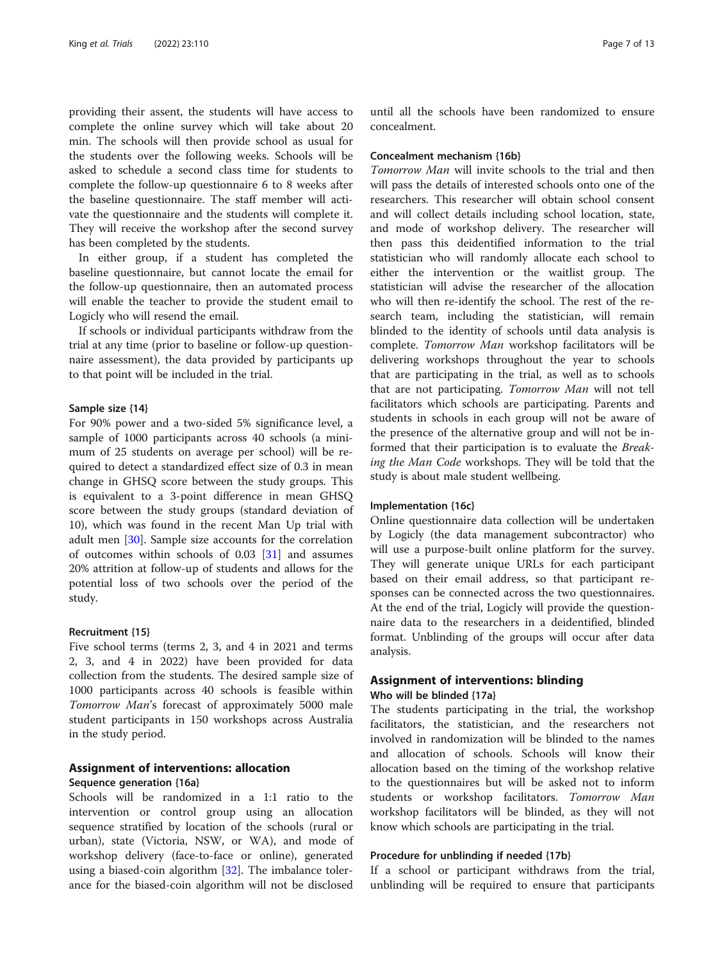providing their assent, the students will have access to complete the online survey which will take about 20 min. The schools will then provide school as usual for the students over the following weeks. Schools will be asked to schedule a second class time for students to complete the follow-up questionnaire 6 to 8 weeks after the baseline questionnaire. The staff member will activate the questionnaire and the students will complete it. They will receive the workshop after the second survey has been completed by the students.

In either group, if a student has completed the baseline questionnaire, but cannot locate the email for the follow-up questionnaire, then an automated process will enable the teacher to provide the student email to Logicly who will resend the email.

If schools or individual participants withdraw from the trial at any time (prior to baseline or follow-up questionnaire assessment), the data provided by participants up to that point will be included in the trial.

#### Sample size {14}

For 90% power and a two-sided 5% significance level, a sample of 1000 participants across 40 schools (a minimum of 25 students on average per school) will be required to detect a standardized effect size of 0.3 in mean change in GHSQ score between the study groups. This is equivalent to a 3-point difference in mean GHSQ score between the study groups (standard deviation of 10), which was found in the recent Man Up trial with adult men [\[30](#page-12-0)]. Sample size accounts for the correlation of outcomes within schools of 0.03 [[31](#page-12-0)] and assumes 20% attrition at follow-up of students and allows for the potential loss of two schools over the period of the study.

#### Recruitment {15}

Five school terms (terms 2, 3, and 4 in 2021 and terms 2, 3, and 4 in 2022) have been provided for data collection from the students. The desired sample size of 1000 participants across 40 schools is feasible within Tomorrow Man's forecast of approximately 5000 male student participants in 150 workshops across Australia in the study period.

#### Assignment of interventions: allocation Sequence generation {16a}

Schools will be randomized in a 1:1 ratio to the intervention or control group using an allocation sequence stratified by location of the schools (rural or urban), state (Victoria, NSW, or WA), and mode of workshop delivery (face-to-face or online), generated using a biased-coin algorithm [\[32](#page-12-0)]. The imbalance tolerance for the biased-coin algorithm will not be disclosed

until all the schools have been randomized to ensure concealment.

#### Concealment mechanism {16b}

Tomorrow Man will invite schools to the trial and then will pass the details of interested schools onto one of the researchers. This researcher will obtain school consent and will collect details including school location, state, and mode of workshop delivery. The researcher will then pass this deidentified information to the trial statistician who will randomly allocate each school to either the intervention or the waitlist group. The statistician will advise the researcher of the allocation who will then re-identify the school. The rest of the research team, including the statistician, will remain blinded to the identity of schools until data analysis is complete. Tomorrow Man workshop facilitators will be delivering workshops throughout the year to schools that are participating in the trial, as well as to schools that are not participating. Tomorrow Man will not tell facilitators which schools are participating. Parents and students in schools in each group will not be aware of the presence of the alternative group and will not be informed that their participation is to evaluate the Breaking the Man Code workshops. They will be told that the study is about male student wellbeing.

#### Implementation {16c}

Online questionnaire data collection will be undertaken by Logicly (the data management subcontractor) who will use a purpose-built online platform for the survey. They will generate unique URLs for each participant based on their email address, so that participant responses can be connected across the two questionnaires. At the end of the trial, Logicly will provide the questionnaire data to the researchers in a deidentified, blinded format. Unblinding of the groups will occur after data analysis.

#### Assignment of interventions: blinding Who will be blinded {17a}

The students participating in the trial, the workshop facilitators, the statistician, and the researchers not involved in randomization will be blinded to the names and allocation of schools. Schools will know their allocation based on the timing of the workshop relative to the questionnaires but will be asked not to inform students or workshop facilitators. Tomorrow Man workshop facilitators will be blinded, as they will not know which schools are participating in the trial.

#### Procedure for unblinding if needed {17b}

If a school or participant withdraws from the trial, unblinding will be required to ensure that participants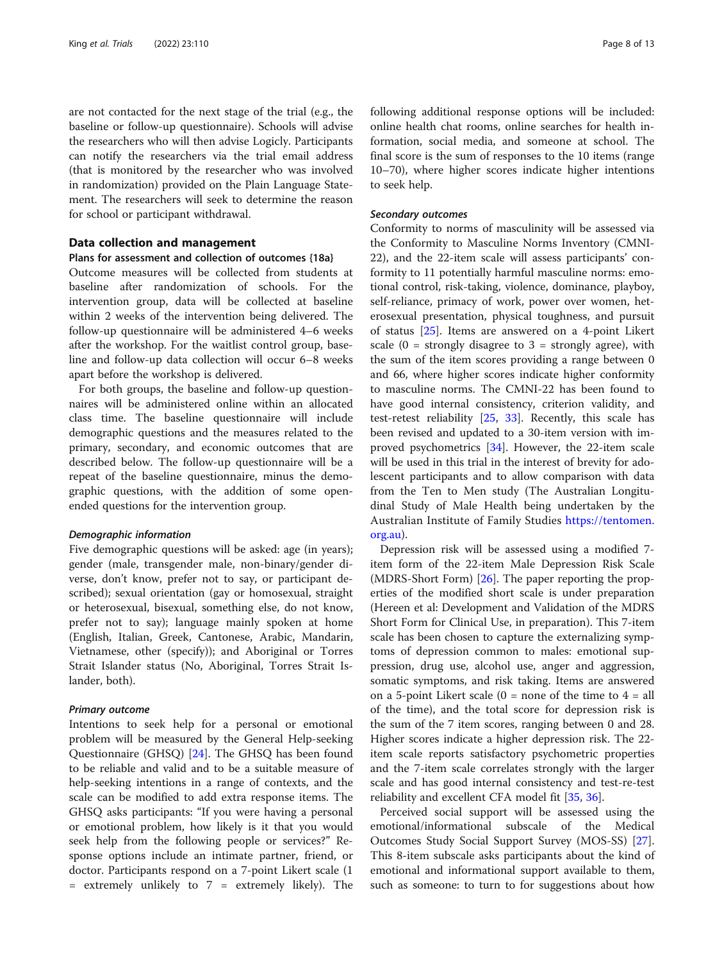are not contacted for the next stage of the trial (e.g., the baseline or follow-up questionnaire). Schools will advise the researchers who will then advise Logicly. Participants can notify the researchers via the trial email address (that is monitored by the researcher who was involved in randomization) provided on the Plain Language Statement. The researchers will seek to determine the reason for school or participant withdrawal.

#### Data collection and management

#### Plans for assessment and collection of outcomes {18a}

Outcome measures will be collected from students at baseline after randomization of schools. For the intervention group, data will be collected at baseline within 2 weeks of the intervention being delivered. The follow-up questionnaire will be administered 4–6 weeks after the workshop. For the waitlist control group, baseline and follow-up data collection will occur 6–8 weeks apart before the workshop is delivered.

For both groups, the baseline and follow-up questionnaires will be administered online within an allocated class time. The baseline questionnaire will include demographic questions and the measures related to the primary, secondary, and economic outcomes that are described below. The follow-up questionnaire will be a repeat of the baseline questionnaire, minus the demographic questions, with the addition of some openended questions for the intervention group.

#### Demographic information

Five demographic questions will be asked: age (in years); gender (male, transgender male, non-binary/gender diverse, don't know, prefer not to say, or participant described); sexual orientation (gay or homosexual, straight or heterosexual, bisexual, something else, do not know, prefer not to say); language mainly spoken at home (English, Italian, Greek, Cantonese, Arabic, Mandarin, Vietnamese, other (specify)); and Aboriginal or Torres Strait Islander status (No, Aboriginal, Torres Strait Islander, both).

#### Primary outcome

Intentions to seek help for a personal or emotional problem will be measured by the General Help-seeking Questionnaire (GHSQ) [\[24](#page-12-0)]. The GHSQ has been found to be reliable and valid and to be a suitable measure of help-seeking intentions in a range of contexts, and the scale can be modified to add extra response items. The GHSQ asks participants: "If you were having a personal or emotional problem, how likely is it that you would seek help from the following people or services?" Response options include an intimate partner, friend, or doctor. Participants respond on a 7-point Likert scale (1 = extremely unlikely to 7 = extremely likely). The following additional response options will be included: online health chat rooms, online searches for health information, social media, and someone at school. The final score is the sum of responses to the 10 items (range 10–70), where higher scores indicate higher intentions to seek help.

#### Secondary outcomes

Conformity to norms of masculinity will be assessed via the Conformity to Masculine Norms Inventory (CMNI-22), and the 22-item scale will assess participants' conformity to 11 potentially harmful masculine norms: emotional control, risk-taking, violence, dominance, playboy, self-reliance, primacy of work, power over women, heterosexual presentation, physical toughness, and pursuit of status [[25\]](#page-12-0). Items are answered on a 4-point Likert scale  $(0 =$  strongly disagree to  $3 =$  strongly agree), with the sum of the item scores providing a range between 0 and 66, where higher scores indicate higher conformity to masculine norms. The CMNI-22 has been found to have good internal consistency, criterion validity, and test-retest reliability [\[25,](#page-12-0) [33\]](#page-12-0). Recently, this scale has been revised and updated to a 30-item version with improved psychometrics [\[34\]](#page-12-0). However, the 22-item scale will be used in this trial in the interest of brevity for adolescent participants and to allow comparison with data from the Ten to Men study (The Australian Longitudinal Study of Male Health being undertaken by the Australian Institute of Family Studies [https://tentomen.](https://tentomen.org.au) [org.au](https://tentomen.org.au)).

Depression risk will be assessed using a modified 7 item form of the 22-item Male Depression Risk Scale (MDRS-Short Form) [[26](#page-12-0)]. The paper reporting the properties of the modified short scale is under preparation (Hereen et al: Development and Validation of the MDRS Short Form for Clinical Use, in preparation). This 7-item scale has been chosen to capture the externalizing symptoms of depression common to males: emotional suppression, drug use, alcohol use, anger and aggression, somatic symptoms, and risk taking. Items are answered on a 5-point Likert scale  $(0 = none$  of the time to  $4 = all$ of the time), and the total score for depression risk is the sum of the 7 item scores, ranging between 0 and 28. Higher scores indicate a higher depression risk. The 22 item scale reports satisfactory psychometric properties and the 7-item scale correlates strongly with the larger scale and has good internal consistency and test-re-test reliability and excellent CFA model fit [\[35](#page-12-0), [36](#page-12-0)].

Perceived social support will be assessed using the emotional/informational subscale of the Medical Outcomes Study Social Support Survey (MOS-SS) [\[27](#page-12-0)]. This 8-item subscale asks participants about the kind of emotional and informational support available to them, such as someone: to turn to for suggestions about how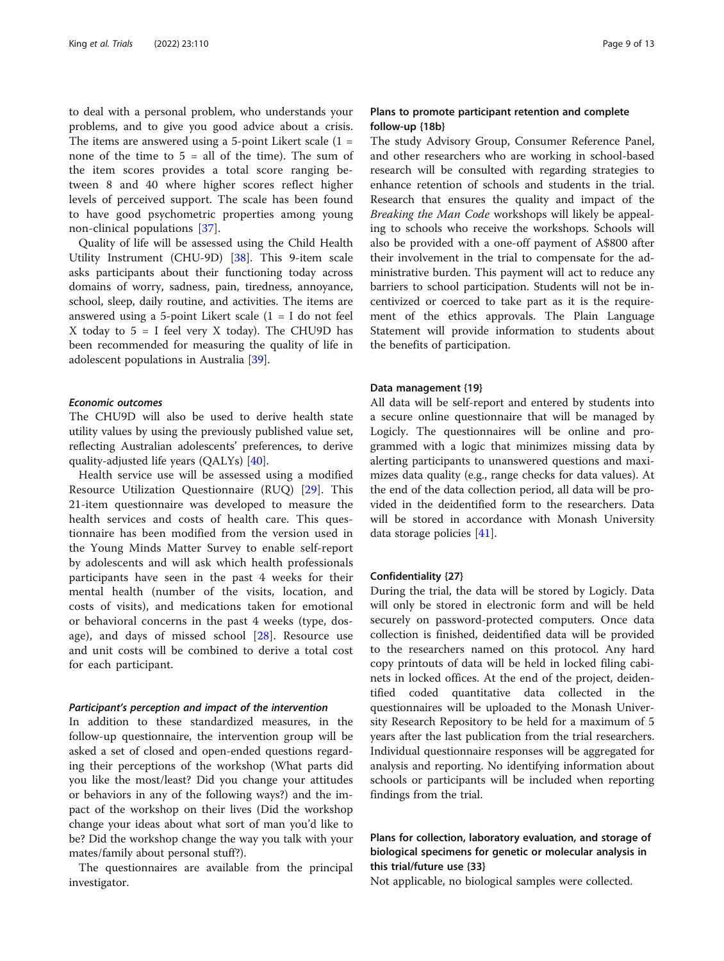to deal with a personal problem, who understands your problems, and to give you good advice about a crisis. The items are answered using a 5-point Likert scale  $(1 =$ none of the time to  $5 =$  all of the time). The sum of the item scores provides a total score ranging between 8 and 40 where higher scores reflect higher levels of perceived support. The scale has been found to have good psychometric properties among young non-clinical populations [[37](#page-12-0)].

Quality of life will be assessed using the Child Health Utility Instrument (CHU-9D) [[38\]](#page-12-0). This 9-item scale asks participants about their functioning today across domains of worry, sadness, pain, tiredness, annoyance, school, sleep, daily routine, and activities. The items are answered using a 5-point Likert scale  $(1 = I$  do not feel X today to  $5 = I$  feel very X today). The CHU9D has been recommended for measuring the quality of life in adolescent populations in Australia [\[39\]](#page-12-0).

#### Economic outcomes

The CHU9D will also be used to derive health state utility values by using the previously published value set, reflecting Australian adolescents' preferences, to derive quality-adjusted life years (QALYs) [\[40\]](#page-12-0).

Health service use will be assessed using a modified Resource Utilization Questionnaire (RUQ) [[29\]](#page-12-0). This 21-item questionnaire was developed to measure the health services and costs of health care. This questionnaire has been modified from the version used in the Young Minds Matter Survey to enable self-report by adolescents and will ask which health professionals participants have seen in the past 4 weeks for their mental health (number of the visits, location, and costs of visits), and medications taken for emotional or behavioral concerns in the past 4 weeks (type, dosage), and days of missed school [[28\]](#page-12-0). Resource use and unit costs will be combined to derive a total cost for each participant.

#### Participant's perception and impact of the intervention

In addition to these standardized measures, in the follow-up questionnaire, the intervention group will be asked a set of closed and open-ended questions regarding their perceptions of the workshop (What parts did you like the most/least? Did you change your attitudes or behaviors in any of the following ways?) and the impact of the workshop on their lives (Did the workshop change your ideas about what sort of man you'd like to be? Did the workshop change the way you talk with your mates/family about personal stuff?).

The questionnaires are available from the principal investigator.

#### Plans to promote participant retention and complete follow-up {18b}

The study Advisory Group, Consumer Reference Panel, and other researchers who are working in school-based research will be consulted with regarding strategies to enhance retention of schools and students in the trial. Research that ensures the quality and impact of the Breaking the Man Code workshops will likely be appealing to schools who receive the workshops. Schools will also be provided with a one-off payment of A\$800 after their involvement in the trial to compensate for the administrative burden. This payment will act to reduce any barriers to school participation. Students will not be incentivized or coerced to take part as it is the requirement of the ethics approvals. The Plain Language Statement will provide information to students about the benefits of participation.

#### Data management {19}

All data will be self-report and entered by students into a secure online questionnaire that will be managed by Logicly. The questionnaires will be online and programmed with a logic that minimizes missing data by alerting participants to unanswered questions and maximizes data quality (e.g., range checks for data values). At the end of the data collection period, all data will be provided in the deidentified form to the researchers. Data will be stored in accordance with Monash University data storage policies [[41\]](#page-12-0).

#### Confidentiality {27}

During the trial, the data will be stored by Logicly. Data will only be stored in electronic form and will be held securely on password-protected computers. Once data collection is finished, deidentified data will be provided to the researchers named on this protocol. Any hard copy printouts of data will be held in locked filing cabinets in locked offices. At the end of the project, deidentified coded quantitative data collected in the questionnaires will be uploaded to the Monash University Research Repository to be held for a maximum of 5 years after the last publication from the trial researchers. Individual questionnaire responses will be aggregated for analysis and reporting. No identifying information about schools or participants will be included when reporting findings from the trial.

## Plans for collection, laboratory evaluation, and storage of biological specimens for genetic or molecular analysis in this trial/future use {33}

Not applicable, no biological samples were collected.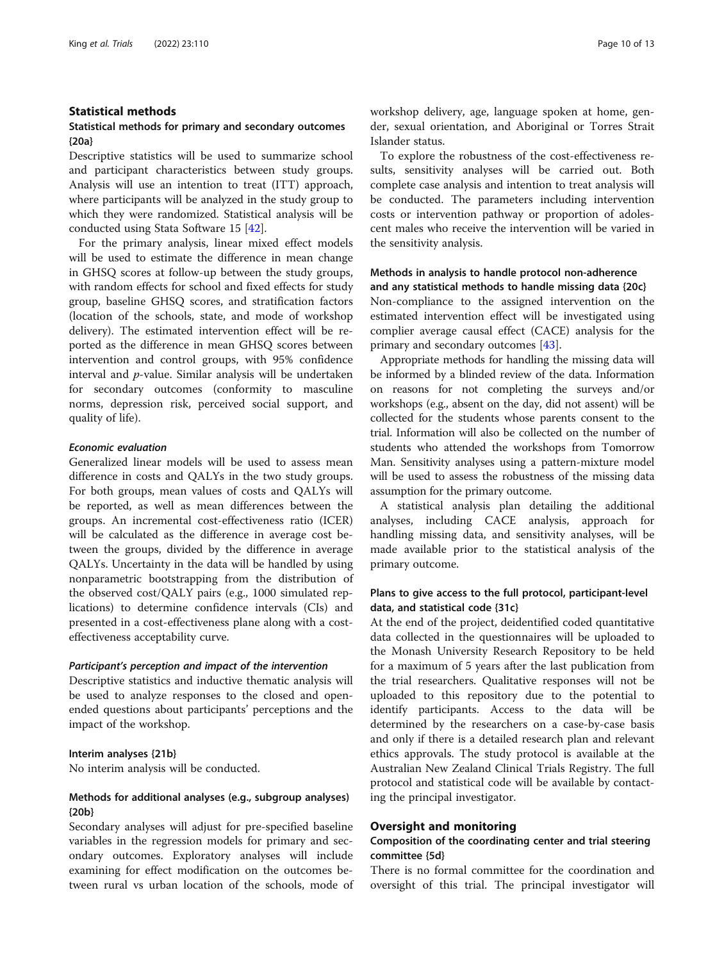#### Statistical methods

#### Statistical methods for primary and secondary outcomes {20a}

Descriptive statistics will be used to summarize school and participant characteristics between study groups. Analysis will use an intention to treat (ITT) approach, where participants will be analyzed in the study group to which they were randomized. Statistical analysis will be conducted using Stata Software 15 [\[42](#page-12-0)].

For the primary analysis, linear mixed effect models will be used to estimate the difference in mean change in GHSQ scores at follow-up between the study groups, with random effects for school and fixed effects for study group, baseline GHSQ scores, and stratification factors (location of the schools, state, and mode of workshop delivery). The estimated intervention effect will be reported as the difference in mean GHSQ scores between intervention and control groups, with 95% confidence interval and p-value. Similar analysis will be undertaken for secondary outcomes (conformity to masculine norms, depression risk, perceived social support, and quality of life).

#### Economic evaluation

Generalized linear models will be used to assess mean difference in costs and QALYs in the two study groups. For both groups, mean values of costs and QALYs will be reported, as well as mean differences between the groups. An incremental cost-effectiveness ratio (ICER) will be calculated as the difference in average cost between the groups, divided by the difference in average QALYs. Uncertainty in the data will be handled by using nonparametric bootstrapping from the distribution of the observed cost/QALY pairs (e.g., 1000 simulated replications) to determine confidence intervals (CIs) and presented in a cost-effectiveness plane along with a costeffectiveness acceptability curve.

#### Participant's perception and impact of the intervention

Descriptive statistics and inductive thematic analysis will be used to analyze responses to the closed and openended questions about participants' perceptions and the impact of the workshop.

#### Interim analyses {21b}

No interim analysis will be conducted.

#### Methods for additional analyses (e.g., subgroup analyses) {20b}

Secondary analyses will adjust for pre-specified baseline variables in the regression models for primary and secondary outcomes. Exploratory analyses will include examining for effect modification on the outcomes between rural vs urban location of the schools, mode of workshop delivery, age, language spoken at home, gender, sexual orientation, and Aboriginal or Torres Strait Islander status.

To explore the robustness of the cost-effectiveness results, sensitivity analyses will be carried out. Both complete case analysis and intention to treat analysis will be conducted. The parameters including intervention costs or intervention pathway or proportion of adolescent males who receive the intervention will be varied in the sensitivity analysis.

#### Methods in analysis to handle protocol non-adherence and any statistical methods to handle missing data {20c}

Non-compliance to the assigned intervention on the estimated intervention effect will be investigated using complier average causal effect (CACE) analysis for the primary and secondary outcomes [\[43\]](#page-12-0).

Appropriate methods for handling the missing data will be informed by a blinded review of the data. Information on reasons for not completing the surveys and/or workshops (e.g., absent on the day, did not assent) will be collected for the students whose parents consent to the trial. Information will also be collected on the number of students who attended the workshops from Tomorrow Man. Sensitivity analyses using a pattern-mixture model will be used to assess the robustness of the missing data assumption for the primary outcome.

A statistical analysis plan detailing the additional analyses, including CACE analysis, approach for handling missing data, and sensitivity analyses, will be made available prior to the statistical analysis of the primary outcome.

#### Plans to give access to the full protocol, participant-level data, and statistical code {31c}

At the end of the project, deidentified coded quantitative data collected in the questionnaires will be uploaded to the Monash University Research Repository to be held for a maximum of 5 years after the last publication from the trial researchers. Qualitative responses will not be uploaded to this repository due to the potential to identify participants. Access to the data will be determined by the researchers on a case-by-case basis and only if there is a detailed research plan and relevant ethics approvals. The study protocol is available at the Australian New Zealand Clinical Trials Registry. The full protocol and statistical code will be available by contacting the principal investigator.

#### Oversight and monitoring

#### Composition of the coordinating center and trial steering committee {5d}

There is no formal committee for the coordination and oversight of this trial. The principal investigator will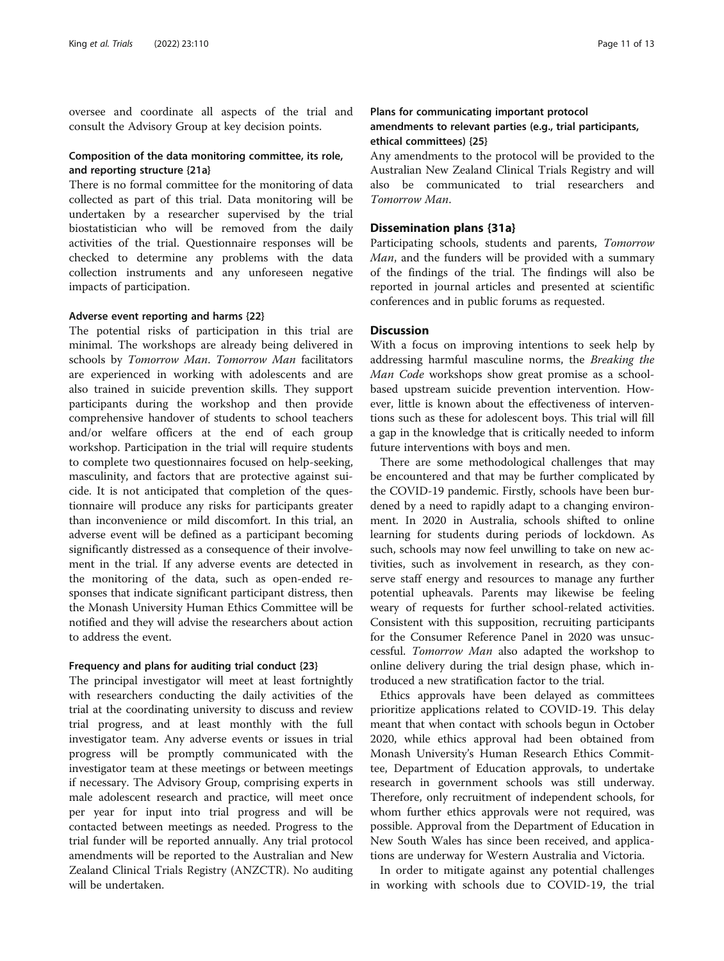oversee and coordinate all aspects of the trial and consult the Advisory Group at key decision points.

#### Composition of the data monitoring committee, its role, and reporting structure {21a}

There is no formal committee for the monitoring of data collected as part of this trial. Data monitoring will be undertaken by a researcher supervised by the trial biostatistician who will be removed from the daily activities of the trial. Questionnaire responses will be checked to determine any problems with the data collection instruments and any unforeseen negative impacts of participation.

#### Adverse event reporting and harms {22}

The potential risks of participation in this trial are minimal. The workshops are already being delivered in schools by Tomorrow Man. Tomorrow Man facilitators are experienced in working with adolescents and are also trained in suicide prevention skills. They support participants during the workshop and then provide comprehensive handover of students to school teachers and/or welfare officers at the end of each group workshop. Participation in the trial will require students to complete two questionnaires focused on help-seeking, masculinity, and factors that are protective against suicide. It is not anticipated that completion of the questionnaire will produce any risks for participants greater than inconvenience or mild discomfort. In this trial, an adverse event will be defined as a participant becoming significantly distressed as a consequence of their involvement in the trial. If any adverse events are detected in the monitoring of the data, such as open-ended responses that indicate significant participant distress, then the Monash University Human Ethics Committee will be notified and they will advise the researchers about action to address the event.

#### Frequency and plans for auditing trial conduct {23}

The principal investigator will meet at least fortnightly with researchers conducting the daily activities of the trial at the coordinating university to discuss and review trial progress, and at least monthly with the full investigator team. Any adverse events or issues in trial progress will be promptly communicated with the investigator team at these meetings or between meetings if necessary. The Advisory Group, comprising experts in male adolescent research and practice, will meet once per year for input into trial progress and will be contacted between meetings as needed. Progress to the trial funder will be reported annually. Any trial protocol amendments will be reported to the Australian and New Zealand Clinical Trials Registry (ANZCTR). No auditing will be undertaken.

#### Plans for communicating important protocol amendments to relevant parties (e.g., trial participants, ethical committees) {25}

Any amendments to the protocol will be provided to the Australian New Zealand Clinical Trials Registry and will also be communicated to trial researchers and Tomorrow Man.

#### Dissemination plans {31a}

Participating schools, students and parents, Tomorrow Man, and the funders will be provided with a summary of the findings of the trial. The findings will also be reported in journal articles and presented at scientific conferences and in public forums as requested.

#### **Discussion**

With a focus on improving intentions to seek help by addressing harmful masculine norms, the Breaking the Man Code workshops show great promise as a schoolbased upstream suicide prevention intervention. However, little is known about the effectiveness of interventions such as these for adolescent boys. This trial will fill a gap in the knowledge that is critically needed to inform future interventions with boys and men.

There are some methodological challenges that may be encountered and that may be further complicated by the COVID-19 pandemic. Firstly, schools have been burdened by a need to rapidly adapt to a changing environment. In 2020 in Australia, schools shifted to online learning for students during periods of lockdown. As such, schools may now feel unwilling to take on new activities, such as involvement in research, as they conserve staff energy and resources to manage any further potential upheavals. Parents may likewise be feeling weary of requests for further school-related activities. Consistent with this supposition, recruiting participants for the Consumer Reference Panel in 2020 was unsuccessful. Tomorrow Man also adapted the workshop to online delivery during the trial design phase, which introduced a new stratification factor to the trial.

Ethics approvals have been delayed as committees prioritize applications related to COVID-19. This delay meant that when contact with schools begun in October 2020, while ethics approval had been obtained from Monash University's Human Research Ethics Committee, Department of Education approvals, to undertake research in government schools was still underway. Therefore, only recruitment of independent schools, for whom further ethics approvals were not required, was possible. Approval from the Department of Education in New South Wales has since been received, and applications are underway for Western Australia and Victoria.

In order to mitigate against any potential challenges in working with schools due to COVID-19, the trial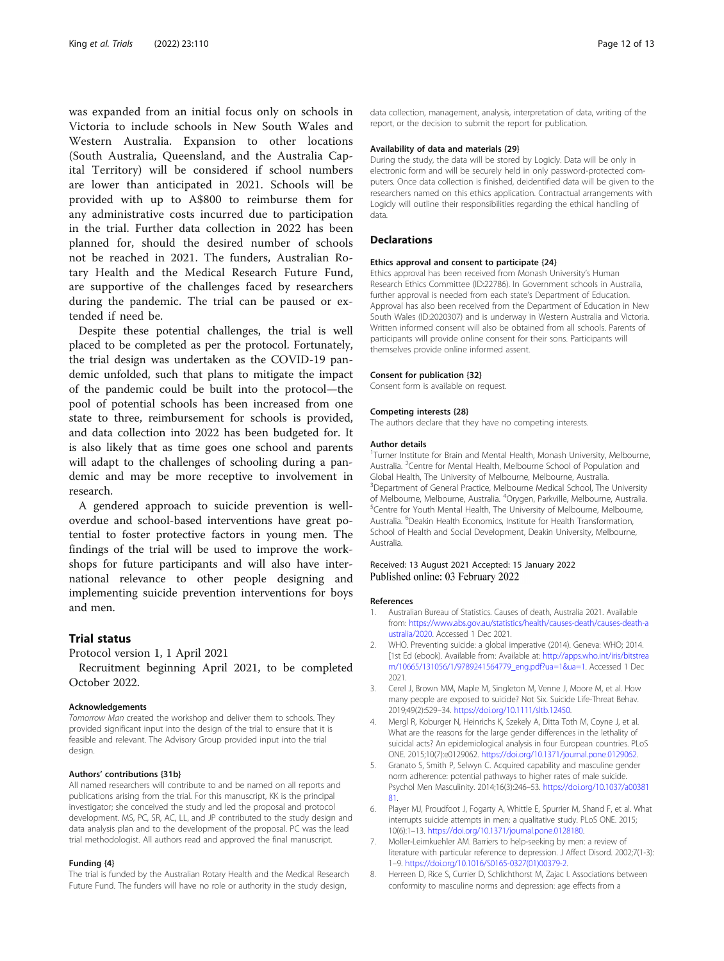<span id="page-11-0"></span>was expanded from an initial focus only on schools in Victoria to include schools in New South Wales and Western Australia. Expansion to other locations (South Australia, Queensland, and the Australia Capital Territory) will be considered if school numbers are lower than anticipated in 2021. Schools will be provided with up to A\$800 to reimburse them for any administrative costs incurred due to participation in the trial. Further data collection in 2022 has been planned for, should the desired number of schools not be reached in 2021. The funders, Australian Rotary Health and the Medical Research Future Fund, are supportive of the challenges faced by researchers during the pandemic. The trial can be paused or extended if need be.

Despite these potential challenges, the trial is well placed to be completed as per the protocol. Fortunately, the trial design was undertaken as the COVID-19 pandemic unfolded, such that plans to mitigate the impact of the pandemic could be built into the protocol—the pool of potential schools has been increased from one state to three, reimbursement for schools is provided, and data collection into 2022 has been budgeted for. It is also likely that as time goes one school and parents will adapt to the challenges of schooling during a pandemic and may be more receptive to involvement in research.

A gendered approach to suicide prevention is welloverdue and school-based interventions have great potential to foster protective factors in young men. The findings of the trial will be used to improve the workshops for future participants and will also have international relevance to other people designing and implementing suicide prevention interventions for boys and men.

#### Trial status

Protocol version 1, 1 April 2021

Recruitment beginning April 2021, to be completed October 2022.

#### Acknowledgements

Tomorrow Man created the workshop and deliver them to schools. They provided significant input into the design of the trial to ensure that it is feasible and relevant. The Advisory Group provided input into the trial design.

#### Authors' contributions {31b}

All named researchers will contribute to and be named on all reports and publications arising from the trial. For this manuscript, KK is the principal investigator; she conceived the study and led the proposal and protocol development. MS, PC, SR, AC, LL, and JP contributed to the study design and data analysis plan and to the development of the proposal. PC was the lead trial methodologist. All authors read and approved the final manuscript.

#### Funding {4}

The trial is funded by the Australian Rotary Health and the Medical Research Future Fund. The funders will have no role or authority in the study design,

data collection, management, analysis, interpretation of data, writing of the report, or the decision to submit the report for publication.

#### Availability of data and materials {29}

During the study, the data will be stored by Logicly. Data will be only in electronic form and will be securely held in only password-protected computers. Once data collection is finished, deidentified data will be given to the researchers named on this ethics application. Contractual arrangements with Logicly will outline their responsibilities regarding the ethical handling of data.

#### **Declarations**

#### Ethics approval and consent to participate {24}

Ethics approval has been received from Monash University's Human Research Ethics Committee (ID:22786). In Government schools in Australia, further approval is needed from each state's Department of Education. Approval has also been received from the Department of Education in New South Wales (ID:2020307) and is underway in Western Australia and Victoria. Written informed consent will also be obtained from all schools. Parents of participants will provide online consent for their sons. Participants will themselves provide online informed assent.

#### Consent for publication {32}

Consent form is available on request.

#### Competing interests {28}

The authors declare that they have no competing interests.

#### Author details

<sup>1</sup>Turner Institute for Brain and Mental Health, Monash University, Melbourne, Australia. <sup>2</sup>Centre for Mental Health, Melbourne School of Population and Global Health, The University of Melbourne, Melbourne, Australia. <sup>3</sup>Department of General Practice, Melbourne Medical School, The University of Melbourne, Melbourne, Australia. <sup>4</sup>Orygen, Parkville, Melbourne, Australia.<br><sup>5</sup>Contre for Youth Montal Hoalth, The University of Melbourne, Melbourne. <sup>5</sup> Centre for Youth Mental Health, The University of Melbourne, Melbourne, Australia. <sup>6</sup>Deakin Health Economics, Institute for Health Transformation, School of Health and Social Development, Deakin University, Melbourne, Australia.

#### Received: 13 August 2021 Accepted: 15 January 2022 Published online: 03 February 2022

#### References

- 1. Australian Bureau of Statistics. Causes of death, Australia 2021. Available from: [https://www.abs.gov.au/statistics/health/causes-death/causes-death-a](https://www.abs.gov.au/statistics/health/causes-death/causes-death-australia/2020) [ustralia/2020.](https://www.abs.gov.au/statistics/health/causes-death/causes-death-australia/2020) Accessed 1 Dec 2021.
- 2. WHO. Preventing suicide: a global imperative (2014). Geneva: WHO; 2014. [1st Ed (ebook). Available from: Available at: [http://apps.who.int/iris/bitstrea](http://apps.who.int/iris/bitstream/10665/131056/1/9789241564779_eng.pdf?ua=1&ua=1) [m/10665/131056/1/9789241564779\\_eng.pdf?ua=1&ua=1.](http://apps.who.int/iris/bitstream/10665/131056/1/9789241564779_eng.pdf?ua=1&ua=1) Accessed 1 Dec 2021.
- 3. Cerel J, Brown MM, Maple M, Singleton M, Venne J, Moore M, et al. How many people are exposed to suicide? Not Six. Suicide Life-Threat Behav. 2019;49(2):529–34. <https://doi.org/10.1111/sltb.12450>.
- 4. Mergl R, Koburger N, Heinrichs K, Szekely A, Ditta Toth M, Coyne J, et al. What are the reasons for the large gender differences in the lethality of suicidal acts? An epidemiological analysis in four European countries. PLoS ONE. 2015;10(7):e0129062. <https://doi.org/10.1371/journal.pone.0129062>.
- 5. Granato S, Smith P, Selwyn C. Acquired capability and masculine gender norm adherence: potential pathways to higher rates of male suicide. Psychol Men Masculinity. 2014;16(3):246–53. [https://doi.org/10.1037/a00381](https://doi.org/10.1037/a0038181) [81.](https://doi.org/10.1037/a0038181)
- 6. Player MJ, Proudfoot J, Fogarty A, Whittle E, Spurrier M, Shand F, et al. What interrupts suicide attempts in men: a qualitative study. PLoS ONE. 2015; 10(6):1–13. [https://doi.org/10.1371/journal.pone.0128180.](https://doi.org/10.1371/journal.pone.0128180)
- 7. Moller-Leimkuehler AM. Barriers to help-seeking by men: a review of literature with particular reference to depression. J Affect Disord. 2002;7(1-3): 1–9. [https://doi.org/10.1016/S0165-0327\(01\)00379-2](https://doi.org/10.1016/S0165-0327(01)00379-2).
- 8. Herreen D, Rice S, Currier D, Schlichthorst M, Zajac I. Associations between conformity to masculine norms and depression: age effects from a